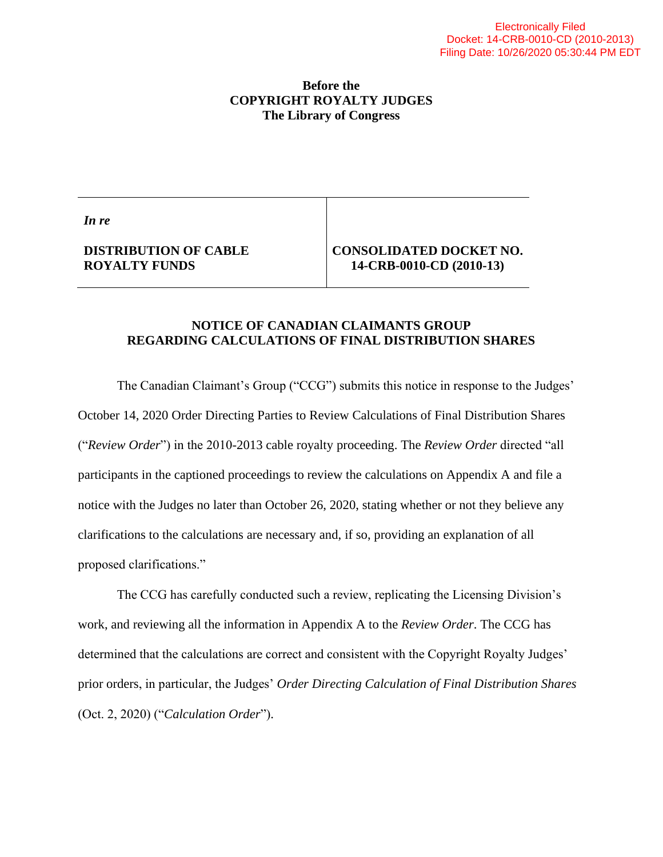#### **Before the COPYRIGHT ROYALTY JUDGES The Library of Congress**

*In re*

### **DISTRIBUTION OF CABLE ROYALTY FUNDS**

#### **CONSOLIDATED DOCKET NO. 14-CRB-0010-CD (2010-13)**

#### **NOTICE OF CANADIAN CLAIMANTS GROUP REGARDING CALCULATIONS OF FINAL DISTRIBUTION SHARES**

The Canadian Claimant's Group ("CCG") submits this notice in response to the Judges' October 14, 2020 Order Directing Parties to Review Calculations of Final Distribution Shares ("*Review Order*") in the 2010-2013 cable royalty proceeding. The *Review Order* directed "all participants in the captioned proceedings to review the calculations on Appendix A and file a notice with the Judges no later than October 26, 2020, stating whether or not they believe any clarifications to the calculations are necessary and, if so, providing an explanation of all proposed clarifications."

The CCG has carefully conducted such a review, replicating the Licensing Division's work, and reviewing all the information in Appendix A to the *Review Order*. The CCG has determined that the calculations are correct and consistent with the Copyright Royalty Judges' prior orders, in particular, the Judges' *Order Directing Calculation of Final Distribution Shares* (Oct. 2, 2020) ("*Calculation Order*").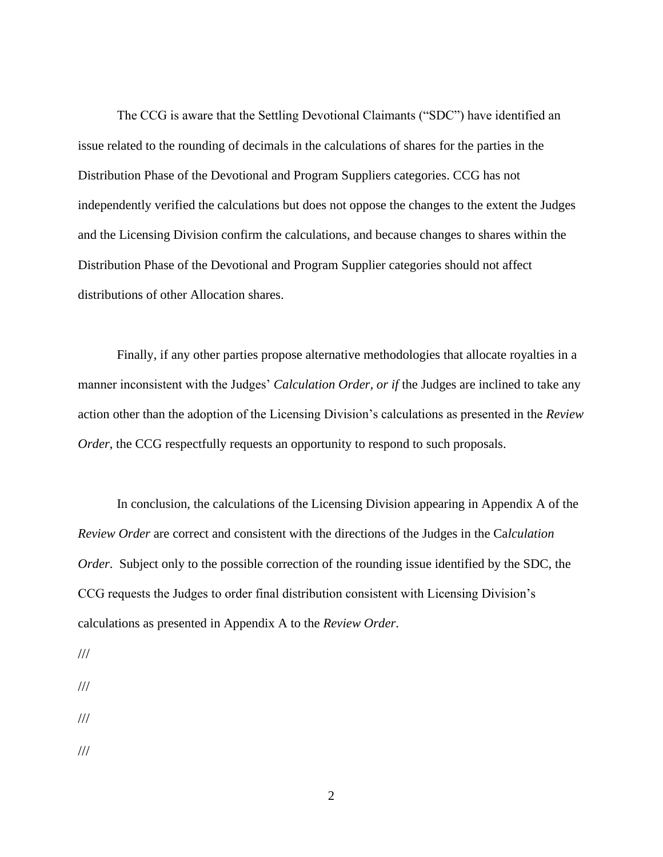The CCG is aware that the Settling Devotional Claimants ("SDC") have identified an issue related to the rounding of decimals in the calculations of shares for the parties in the Distribution Phase of the Devotional and Program Suppliers categories. CCG has not independently verified the calculations but does not oppose the changes to the extent the Judges and the Licensing Division confirm the calculations, and because changes to shares within the Distribution Phase of the Devotional and Program Supplier categories should not affect distributions of other Allocation shares.

Finally, if any other parties propose alternative methodologies that allocate royalties in a manner inconsistent with the Judges' *Calculation Order, or if* the Judges are inclined to take any action other than the adoption of the Licensing Division's calculations as presented in the *Review Order*, the CCG respectfully requests an opportunity to respond to such proposals.

In conclusion, the calculations of the Licensing Division appearing in Appendix A of the *Review Order* are correct and consistent with the directions of the Judges in the Ca*lculation Order*. Subject only to the possible correction of the rounding issue identified by the SDC, the CCG requests the Judges to order final distribution consistent with Licensing Division's calculations as presented in Appendix A to the *Review Order*.

- ///
- ///
- ///
- ///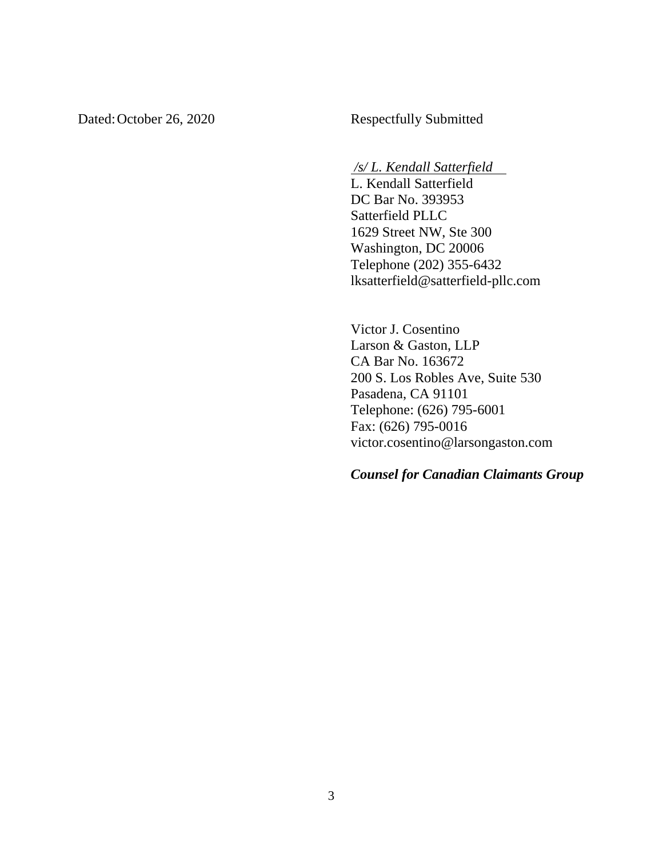Dated: October 26, 2020 Respectfully Submitted

#### */s/ L. Kendall Satterfield*

L. Kendall Satterfield DC Bar No. 393953 Satterfield PLLC 1629 Street NW, Ste 300 Washington, DC 20006 Telephone (202) 355-6432 lksatterfield@satterfield-pllc.com

Victor J. Cosentino Larson & Gaston, LLP CA Bar No. 163672 200 S. Los Robles Ave, Suite 530 Pasadena, CA 91101 Telephone: (626) 795-6001 Fax: (626) 795-0016 victor.cosentino@larsongaston.com

*Counsel for Canadian Claimants Group*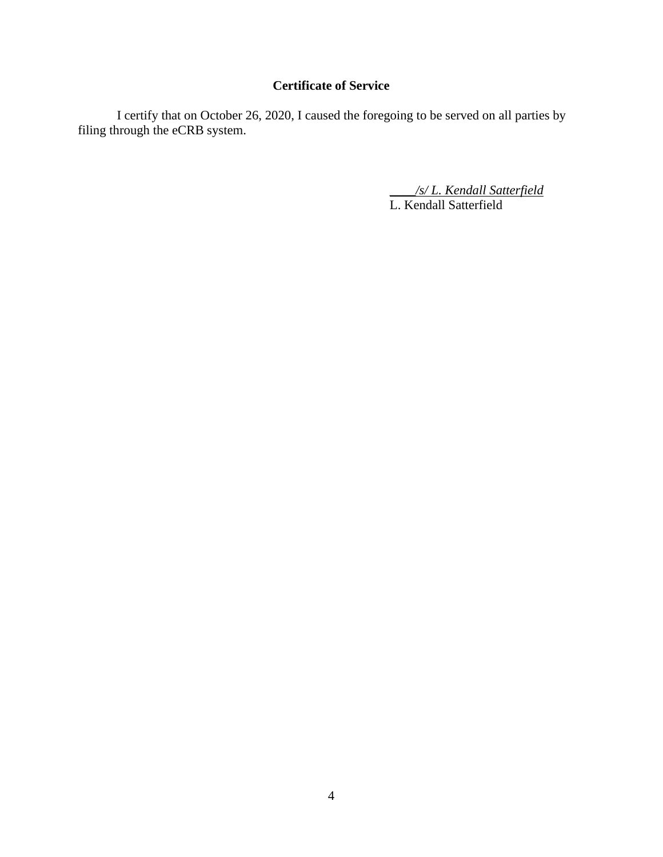## **Certificate of Service**

I certify that on October 26, 2020, I caused the foregoing to be served on all parties by filing through the eCRB system.

> \_\_\_\_*/s/ L. Kendall Satterfield* L. Kendall Satterfield